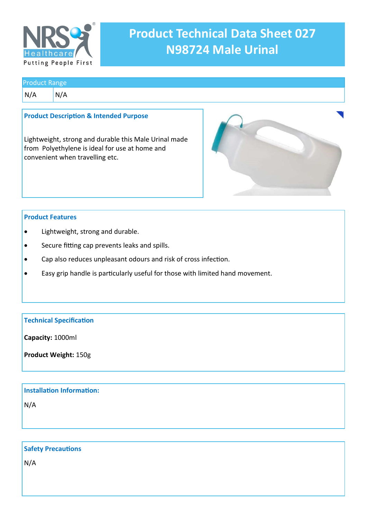

# **Product Technical Data Sheet 027 N98724 Male Urinal**

### Product Range

 $N/A$   $N/A$ 

### **Product Description & Intended Purpose**

Lightweight, strong and durable this Male Urinal made from Polyethylene is ideal for use at home and convenient when travelling etc.



## **Product Features**

- Lightweight, strong and durable.
- Secure fitting cap prevents leaks and spills.
- Cap also reduces unpleasant odours and risk of cross infection.
- Easy grip handle is particularly useful for those with limited hand movement.

## **Technical Specification**

**Capacity:** 1000ml

**Product Weight:** 150g

# **Installation Information:**

N/A

# **Safety Precautions**

N/A